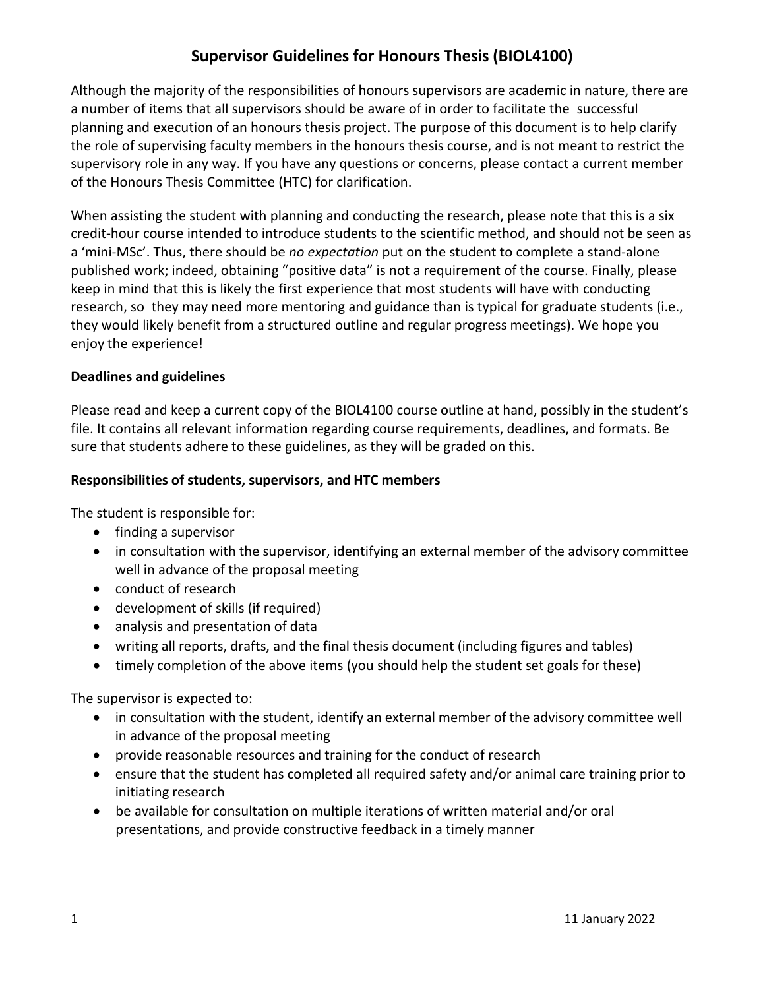## **Supervisor Guidelines for Honours Thesis (BIOL4100)**

Although the majority of the responsibilities of honours supervisors are academic in nature, there are a number of items that all supervisors should be aware of in order to facilitate the successful planning and execution of an honours thesis project. The purpose of this document is to help clarify the role of supervising faculty members in the honours thesis course, and is not meant to restrict the supervisory role in any way. If you have any questions or concerns, please contact a current member of the Honours Thesis Committee (HTC) for clarification.

When assisting the student with planning and conducting the research, please note that this is a six credit-hour course intended to introduce students to the scientific method, and should not be seen as a 'mini-MSc'. Thus, there should be *no expectation* put on the student to complete a stand-alone published work; indeed, obtaining "positive data" is not a requirement of the course. Finally, please keep in mind that this is likely the first experience that most students will have with conducting research, so they may need more mentoring and guidance than is typical for graduate students (i.e., they would likely benefit from a structured outline and regular progress meetings). We hope you enjoy the experience!

#### **Deadlines and guidelines**

Please read and keep a current copy of the BIOL4100 course outline at hand, possibly in the student's file. It contains all relevant information regarding course requirements, deadlines, and formats. Be sure that students adhere to these guidelines, as they will be graded on this.

#### **Responsibilities of students, supervisors, and HTC members**

The student is responsible for:

- finding a supervisor
- in consultation with the supervisor, identifying an external member of the advisory committee well in advance of the proposal meeting
- conduct of research
- development of skills (if required)
- analysis and presentation of data
- writing all reports, drafts, and the final thesis document (including figures and tables)
- timely completion of the above items (you should help the student set goals for these)

The supervisor is expected to:

- in consultation with the student, identify an external member of the advisory committee well in advance of the proposal meeting
- provide reasonable resources and training for the conduct of research
- ensure that the student has completed all required safety and/or animal care training prior to initiating research
- be available for consultation on multiple iterations of written material and/or oral presentations, and provide constructive feedback in a timely manner